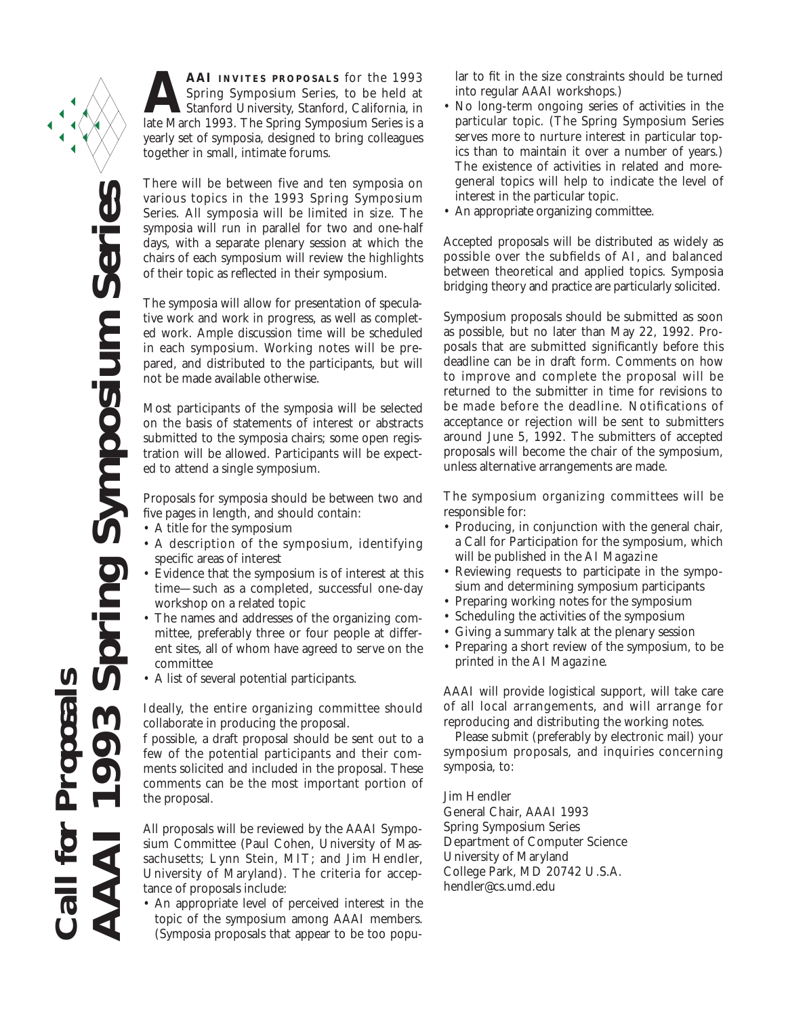**AAI INVITES PROPOSALS** for the 1993<br>Spring Symposium Series, to be held at<br>Stanford University, Stanford, California, in<br>late March 1993. The Spring Symposium Series is a Spring Symposium Series, to be held at Stanford University, Stanford, California, in late March 1993. The Spring Symposium Series is a yearly set of symposia, designed to bring colleagues together in small, intimate forums.

There will be between five and ten symposia on various topics in the 1993 Spring Symposium Series. All symposia will be limited in size. The symposia will run in parallel for two and one-half days, with a separate plenary session at which the chairs of each symposium will review the highlights of their topic as reflected in their symposium.

The symposia will allow for presentation of speculative work and work in progress, as well as completed work. Ample discussion time will be scheduled in each symposium. Working notes will be prepared, and distributed to the participants, but will not be made available otherwise.

Most participants of the symposia will be selected on the basis of statements of interest or abstracts submitted to the symposia chairs; some open registration will be allowed. Participants will be expected to attend a single symposium.

Proposals for symposia should be between two and five pages in length, and should contain:

- A title for the symposium
- A description of the symposium, identifying specific areas of interest
- Evidence that the symposium is of interest at this time—such as a completed, successful one-day workshop on a related topic
- The names and addresses of the organizing committee, preferably three or four people at different sites, all of whom have agreed to serve on the committee
- A list of several potential participants.

Ideally, the entire organizing committee should collaborate in producing the proposal.

f possible, a draft proposal should be sent out to a few of the potential participants and their comments solicited and included in the proposal. These comments can be the most important portion of the proposal.

All proposals will be reviewed by the AAAI Symposium Committee (Paul Cohen, University of Massachusetts; Lynn Stein, MIT; and Jim Hendler, University of Maryland). The criteria for acceptance of proposals include:

• An appropriate level of perceived interest in the topic of the symposium among AAAI members. (Symposia proposals that appear to be too popular to fit in the size constraints should be turned into regular AAAI workshops.)

- No long-term ongoing series of activities in the particular topic. (The Spring Symposium Series serves more to nurture interest in particular topics than to maintain it over a number of years.) The existence of activities in related and moregeneral topics will help to indicate the level of interest in the particular topic.
- An appropriate organizing committee.

Accepted proposals will be distributed as widely as possible over the subfields of AI, and balanced between theoretical and applied topics. Symposia bridging theory and practice are particularly solicited.

Symposium proposals should be submitted as soon as possible, but no later than May 22, 1992. Proposals that are submitted significantly before this deadline can be in draft form. Comments on how to improve and complete the proposal will be returned to the submitter in time for revisions to be made before the deadline. Notifications of acceptance or rejection will be sent to submitters around June 5, 1992. The submitters of accepted proposals will become the chair of the symposium, unless alternative arrangements are made.

The symposium organizing committees will be responsible for:

- Producing, in conjunction with the general chair, a Call for Participation for the symposium, which will be published in the *AI Magazine*
- Reviewing requests to participate in the symposium and determining symposium participants
- Preparing working notes for the symposium
- Scheduling the activities of the symposium
- Giving a summary talk at the plenary session
- Preparing a short review of the symposium, to be printed in the *AI Magazine.*

AAAI will provide logistical support, will take care of all local arrangements, and will arrange for reproducing and distributing the working notes.

Please submit (preferably by electronic mail) your symposium proposals, and inquiries concerning symposia, to:

Jim Hendler General Chair, AAAI 1993 Spring Symposium Series Department of Computer Science University of Maryland College Park, MD 20742 U.S.A. hendler@cs.umd.edu